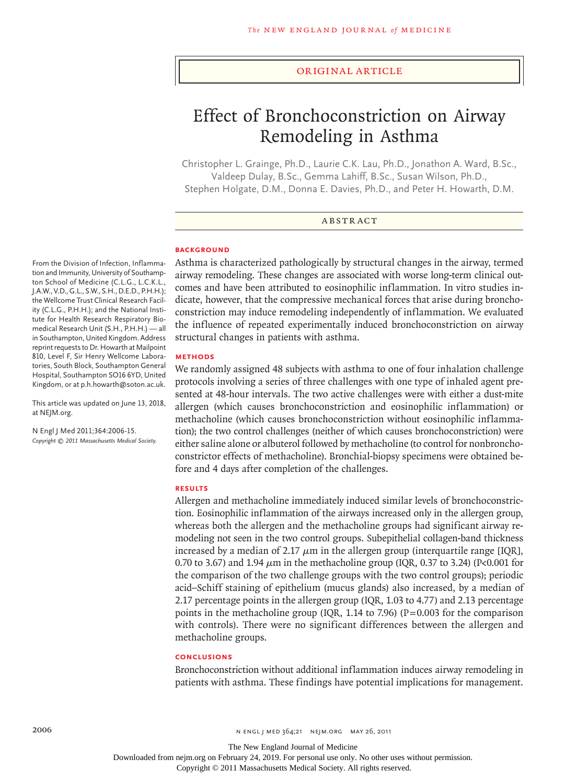#### original article

# Effect of Bronchoconstriction on Airway Remodeling in Asthma

Christopher L. Grainge, Ph.D., Laurie C.K. Lau, Ph.D., Jonathon A. Ward, B.Sc., Valdeep Dulay, B.Sc., Gemma Lahiff, B.Sc., Susan Wilson, Ph.D., Stephen Holgate, D.M., Donna E. Davies, Ph.D., and Peter H. Howarth, D.M.

### **ABSTRACT**

#### **BACKGROUND**

From the Division of Infection, Inflammation and Immunity, University of Southampton School of Medicine (C.L.G., L.C.K.L., J.A.W., V.D., G.L., S.W., S.H., D.E.D., P.H.H.); the Wellcome Trust Clinical Research Facility (C.L.G., P.H.H.); and the National Institute for Health Research Respiratory Biomedical Research Unit (S.H., P.H.H.) — all in Southampton, United Kingdom. Address reprint requests to Dr. Howarth at Mailpoint 810, Level F, Sir Henry Wellcome Laboratories, South Block, Southampton General Hospital, Southampton SO16 6YD, United Kingdom, or at p.h.howarth@soton.ac.uk.

This article was updated on June 13, 2018, at NEJM.org.

N Engl J Med 2011;364:2006-15. *Copyright © 2011 Massachusetts Medical Society.* Asthma is characterized pathologically by structural changes in the airway, termed airway remodeling. These changes are associated with worse long-term clinical outcomes and have been attributed to eosinophilic inflammation. In vitro studies indicate, however, that the compressive mechanical forces that arise during bronchoconstriction may induce remodeling independently of inflammation. We evaluated the influence of repeated experimentally induced bronchoconstriction on airway structural changes in patients with asthma.

#### **Methods**

We randomly assigned 48 subjects with asthma to one of four inhalation challenge protocols involving a series of three challenges with one type of inhaled agent presented at 48-hour intervals. The two active challenges were with either a dust-mite allergen (which causes bronchoconstriction and eosinophilic inflammation) or methacholine (which causes bronchoconstriction without eosinophilic inflammation); the two control challenges (neither of which causes bronchoconstriction) were either saline alone or albuterol followed by methacholine (to control for nonbronchoconstrictor effects of methacholine). Bronchial-biopsy specimens were obtained before and 4 days after completion of the challenges.

## **Results**

Allergen and methacholine immediately induced similar levels of bronchoconstriction. Eosinophilic inflammation of the airways increased only in the allergen group, whereas both the allergen and the methacholine groups had significant airway remodeling not seen in the two control groups. Subepithelial collagen-band thickness increased by a median of 2.17  $\mu$ m in the allergen group (interquartile range [IQR], 0.70 to 3.67) and 1.94  $\mu$ m in the methacholine group (IQR, 0.37 to 3.24) (P<0.001 for the comparison of the two challenge groups with the two control groups); periodic acid–Schiff staining of epithelium (mucus glands) also increased, by a median of 2.17 percentage points in the allergen group (IQR, 1.03 to 4.77) and 2.13 percentage points in the methacholine group (IQR, 1.14 to 7.96) ( $P=0.003$  for the comparison with controls). There were no significant differences between the allergen and methacholine groups.

#### **Conclusions**

Bronchoconstriction without additional inflammation induces airway remodeling in patients with asthma. These findings have potential implications for management.

The New England Journal of Medicine

Downloaded from nejm.org on February 24, 2019. For personal use only. No other uses without permission.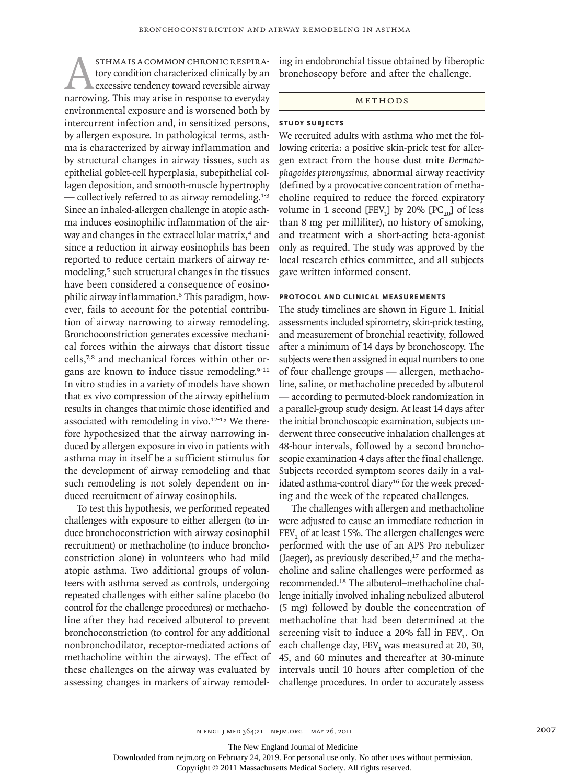STHMA IS A COMMON CHRONIC RESPIRA-<br>tory condition characterized clinically by an<br>excessive tendency toward reversible airway<br>narrowing. This may arise in response to everyday tory condition characterized clinically by an excessive tendency toward reversible airway environmental exposure and is worsened both by intercurrent infection and, in sensitized persons, by allergen exposure. In pathological terms, asthma is characterized by airway inflammation and by structural changes in airway tissues, such as epithelial goblet-cell hyperplasia, subepithelial collagen deposition, and smooth-muscle hypertrophy — collectively referred to as airway remodeling.<sup>1-3</sup> Since an inhaled-allergen challenge in atopic asthma induces eosinophilic inflammation of the airway and changes in the extracellular matrix,<sup>4</sup> and since a reduction in airway eosinophils has been reported to reduce certain markers of airway remodeling,<sup>5</sup> such structural changes in the tissues have been considered a consequence of eosinophilic airway inflammation.6 This paradigm, however, fails to account for the potential contribution of airway narrowing to airway remodeling. Bronchoconstriction generates excessive mechanical forces within the airways that distort tissue cells,7,8 and mechanical forces within other organs are known to induce tissue remodeling.<sup>9-11</sup> In vitro studies in a variety of models have shown that ex vivo compression of the airway epithelium results in changes that mimic those identified and associated with remodeling in vivo.<sup>12-15</sup> We therefore hypothesized that the airway narrowing induced by allergen exposure in vivo in patients with asthma may in itself be a sufficient stimulus for the development of airway remodeling and that such remodeling is not solely dependent on induced recruitment of airway eosinophils.

To test this hypothesis, we performed repeated challenges with exposure to either allergen (to induce bronchoconstriction with airway eosinophil recruitment) or methacholine (to induce bronchoconstriction alone) in volunteers who had mild atopic asthma. Two additional groups of volunteers with asthma served as controls, undergoing repeated challenges with either saline placebo (to control for the challenge procedures) or methacholine after they had received albuterol to prevent bronchoconstriction (to control for any additional nonbronchodilator, receptor-mediated actions of methacholine within the airways). The effect of these challenges on the airway was evaluated by assessing changes in markers of airway remodeling in endobronchial tissue obtained by fiberoptic bronchoscopy before and after the challenge.

## Methods

## **Study Subjects**

We recruited adults with asthma who met the following criteria: a positive skin-prick test for allergen extract from the house dust mite *Dermatophagoides pteronyssinus,* abnormal airway reactivity (defined by a provocative concentration of methacholine required to reduce the forced expiratory volume in 1 second [FEV<sub>1</sub>] by 20%  $[PC_{20}]$  of less than 8 mg per milliliter), no history of smoking, and treatment with a short-acting beta-agonist only as required. The study was approved by the local research ethics committee, and all subjects gave written informed consent.

### **Protocol and Clinical Measurements**

The study timelines are shown in Figure 1. Initial assessments included spirometry, skin-prick testing, and measurement of bronchial reactivity, followed after a minimum of 14 days by bronchoscopy. The subjects were then assigned in equal numbers to one of four challenge groups — allergen, methacholine, saline, or methacholine preceded by albuterol — according to permuted-block randomization in a parallel-group study design. At least 14 days after the initial bronchoscopic examination, subjects underwent three consecutive inhalation challenges at 48-hour intervals, followed by a second bronchoscopic examination 4 days after the final challenge. Subjects recorded symptom scores daily in a validated asthma-control diary<sup>16</sup> for the week preceding and the week of the repeated challenges.

The challenges with allergen and methacholine were adjusted to cause an immediate reduction in  $FEV<sub>1</sub>$  of at least 15%. The allergen challenges were performed with the use of an APS Pro nebulizer (Jaeger), as previously described, $17$  and the methacholine and saline challenges were performed as recommended.18 The albuterol–methacholine challenge initially involved inhaling nebulized albuterol (5 mg) followed by double the concentration of methacholine that had been determined at the screening visit to induce a  $20\%$  fall in FEV<sub>1</sub>. On each challenge day, FEV<sub>1</sub> was measured at 20, 30, 45, and 60 minutes and thereafter at 30-minute intervals until 10 hours after completion of the challenge procedures. In order to accurately assess

The New England Journal of Medicine

Downloaded from nejm.org on February 24, 2019. For personal use only. No other uses without permission.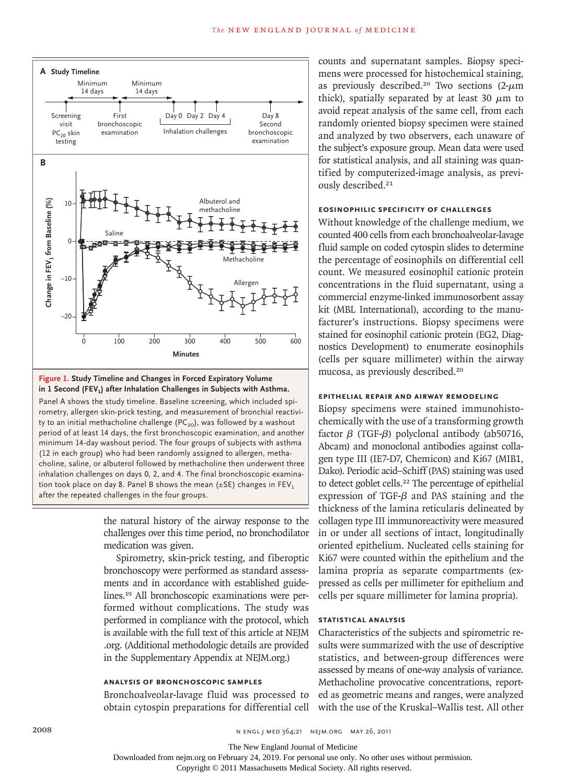

#### **Figure 1. Study Timeline and Changes in Forced Expiratory Volume in 1 Second (FEV1) after Inhalation Challenges in Subjects with Asthma.**

Panel A shows the study timeline. Baseline screening, which included spirometry, allergen skin-prick testing, and measurement of bronchial reactivity to an initial methacholine challenge ( $PC_{20}$ ), was followed by a washout period of at least 14 days, the first bronchoscopic examination, and another minimum 14-day washout period. The four groups of subjects with asthma (12 in each group) who had been randomly assigned to allergen, methacholine, saline, or albuterol followed by methacholine then underwent three inhalation challenges on days 0, 2, and 4. The final bronchoscopic examination took place on day 8. Panel B shows the mean ( $\pm$ SE) changes in FEV<sub>1</sub> after the repeated challenges in the four groups.

> the natural history of the airway response to the challenges over this time period, no bronchodilator medication was given.

> Spirometry, skin-prick testing, and fiberoptic bronchoscopy were performed as standard assessments and in accordance with established guidelines.19 All bronchoscopic examinations were performed without complications. The study was performed in compliance with the protocol, which is available with the full text of this article at NEJM .org. (Additional methodologic details are provided in the Supplementary Appendix at NEJM.org.)

## **Analysis of Bronchoscopic Samples**

Bronchoalveolar-lavage fluid was processed to obtain cytospin preparations for differential cell

counts and supernatant samples. Biopsy specimens were processed for histochemical staining, as previously described.<sup>20</sup> Two sections  $(2-\mu m)$ thick), spatially separated by at least 30  $\mu$ m to avoid repeat analysis of the same cell, from each randomly oriented biopsy specimen were stained and analyzed by two observers, each unaware of the subject's exposure group. Mean data were used for statistical analysis, and all staining was quantified by computerized-image analysis, as previously described.<sup>21</sup>

## **Eosinophilic Specificity of Challenges**

Without knowledge of the challenge medium, we counted 400 cells from each bronchoalveolar-lavage fluid sample on coded cytospin slides to determine the percentage of eosinophils on differential cell count. We measured eosinophil cationic protein concentrations in the fluid supernatant, using a commercial enzyme-linked immunosorbent assay kit (MBL International), according to the manufacturer's instructions. Biopsy specimens were stained for eosinophil cationic protein (EG2, Diagnostics Development) to enumerate eosinophils (cells per square millimeter) within the airway mucosa, as previously described.<sup>20</sup>

# **Epithelial Repair and Airway Remodeling**

Biopsy specimens were stained immunohistochemically with the use of a transforming growth factor β (TGF-β) polyclonal antibody (ab50716, Abcam) and monoclonal antibodies against collagen type III (IE7-D7, Chemicon) and Ki67 (MIB1, Dako). Periodic acid–Schiff (PAS) staining was used to detect goblet cells.<sup>22</sup> The percentage of epithelial expression of TGF-β and PAS staining and the thickness of the lamina reticularis delineated by collagen type III immunoreactivity were measured in or under all sections of intact, longitudinally oriented epithelium. Nucleated cells staining for Ki67 were counted within the epithelium and the lamina propria as separate compartments (expressed as cells per millimeter for epithelium and cells per square millimeter for lamina propria).

## **Statistical Analysis**

Characteristics of the subjects and spirometric results were summarized with the use of descriptive statistics, and between-group differences were assessed by means of one-way analysis of variance. Methacholine provocative concentrations, reported as geometric means and ranges, were analyzed with the use of the Kruskal–Wallis test. All other

The New England Journal of Medicine

Downloaded from nejm.org on February 24, 2019. For personal use only. No other uses without permission.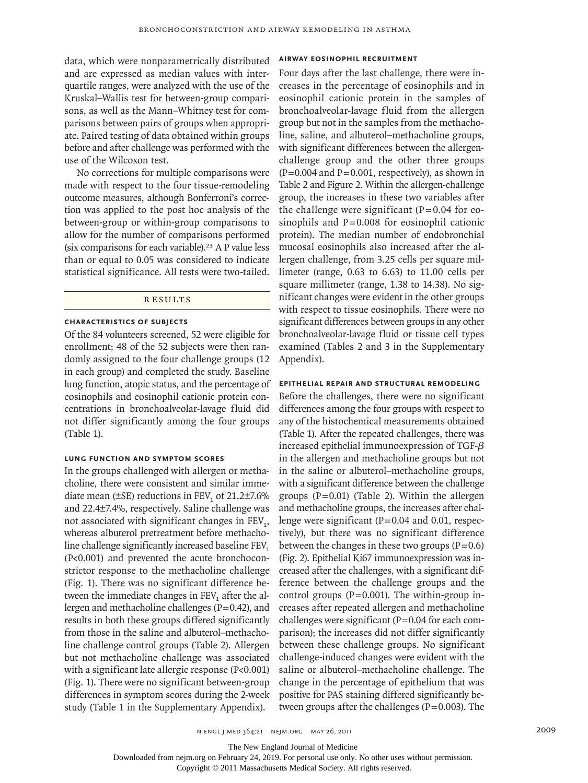data, which were nonparametrically distributed and are expressed as median values with interquartile ranges, were analyzed with the use of the Kruskal–Wallis test for between-group comparisons, as well as the Mann–Whitney test for comparisons between pairs of groups when appropriate. Paired testing of data obtained within groups before and after challenge was performed with the use of the Wilcoxon test.

No corrections for multiple comparisons were made with respect to the four tissue-remodeling outcome measures, although Bonferroni's correction was applied to the post hoc analysis of the between-group or within-group comparisons to allow for the number of comparisons performed (six comparisons for each variable).<sup>23</sup> A P value less than or equal to 0.05 was considered to indicate statistical significance. All tests were two-tailed.

## **RESULTS**

# **Characteristics of Subjects**

Of the 84 volunteers screened, 52 were eligible for enrollment; 48 of the 52 subjects were then randomly assigned to the four challenge groups (12 in each group) and completed the study. Baseline lung function, atopic status, and the percentage of eosinophils and eosinophil cationic protein concentrations in bronchoalveolar-lavage fluid did not differ significantly among the four groups (Table 1).

## **Lung Function and Symptom Scores**

In the groups challenged with allergen or methacholine, there were consistent and similar immediate mean ( $\pm$ SE) reductions in FEV<sub>1</sub> of 21.2 $\pm$ 7.6% and 22.4±7.4%, respectively. Saline challenge was not associated with significant changes in  $FEV<sub>1</sub>$ , whereas albuterol pretreatment before methacholine challenge significantly increased baseline  $FEV<sub>1</sub>$ (P<0.001) and prevented the acute bronchoconstrictor response to the methacholine challenge (Fig. 1). There was no significant difference between the immediate changes in FEV<sub>1</sub> after the allergen and methacholine challenges  $(P=0.42)$ , and results in both these groups differed significantly from those in the saline and albuterol–methacholine challenge control groups (Table 2). Allergen but not methacholine challenge was associated with a significant late allergic response (P<0.001) (Fig. 1). There were no significant between-group differences in symptom scores during the 2-week study (Table 1 in the Supplementary Appendix).

## **Airway Eosinophil Recruitment**

Four days after the last challenge, there were increases in the percentage of eosinophils and in eosinophil cationic protein in the samples of bronchoalveolar-lavage fluid from the allergen group but not in the samples from the methacholine, saline, and albuterol–methacholine groups, with significant differences between the allergenchallenge group and the other three groups  $(P=0.004$  and  $P=0.001$ , respectively), as shown in Table 2 and Figure 2. Within the allergen-challenge group, the increases in these two variables after the challenge were significant  $(P=0.04$  for eosinophils and  $P=0.008$  for eosinophil cationic protein). The median number of endobronchial mucosal eosinophils also increased after the allergen challenge, from 3.25 cells per square millimeter (range, 0.63 to 6.63) to 11.00 cells per square millimeter (range, 1.38 to 14.38). No significant changes were evident in the other groups with respect to tissue eosinophils. There were no significant differences between groups in any other bronchoalveolar-lavage fluid or tissue cell types examined (Tables 2 and 3 in the Supplementary Appendix).

#### **Epithelial Repair and Structural Remodeling**

Before the challenges, there were no significant differences among the four groups with respect to any of the histochemical measurements obtained (Table 1). After the repeated challenges, there was increased epithelial immunoexpression of TGF-β in the allergen and methacholine groups but not in the saline or albuterol–methacholine groups, with a significant difference between the challenge groups  $(P=0.01)$  (Table 2). Within the allergen and methacholine groups, the increases after challenge were significant  $(P=0.04$  and 0.01, respectively), but there was no significant difference between the changes in these two groups  $(P=0.6)$ (Fig. 2). Epithelial Ki67 immunoexpression was increased after the challenges, with a significant difference between the challenge groups and the control groups ( $P=0.001$ ). The within-group increases after repeated allergen and methacholine challenges were significant  $(P=0.04$  for each comparison); the increases did not differ significantly between these challenge groups. No significant challenge-induced changes were evident with the saline or albuterol–methacholine challenge. The change in the percentage of epithelium that was positive for PAS staining differed significantly between groups after the challenges ( $P=0.003$ ). The

The New England Journal of Medicine

Downloaded from nejm.org on February 24, 2019. For personal use only. No other uses without permission.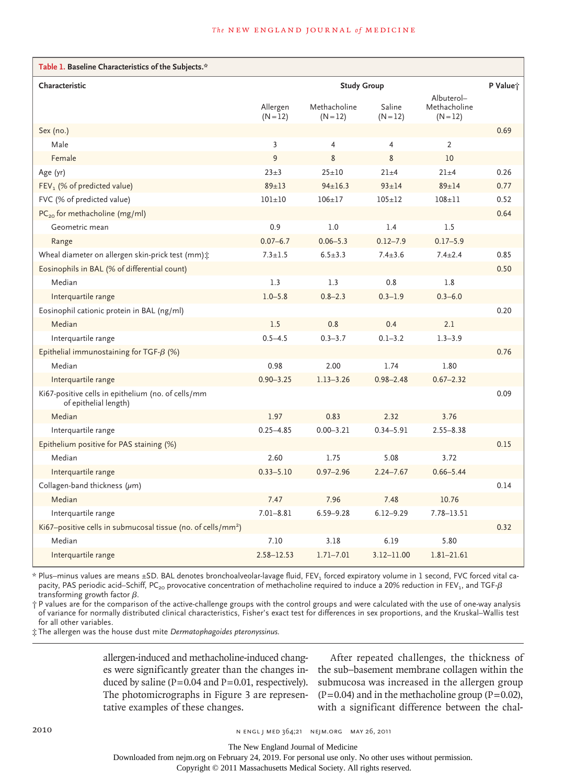| Table 1. Baseline Characteristics of the Subjects.*                         |                        |                            |                      |                                          |      |  |
|-----------------------------------------------------------------------------|------------------------|----------------------------|----------------------|------------------------------------------|------|--|
| Characteristic                                                              | <b>Study Group</b>     |                            |                      |                                          |      |  |
|                                                                             | Allergen<br>$(N = 12)$ | Methacholine<br>$(N = 12)$ | Saline<br>$(N = 12)$ | Albuterol-<br>Methacholine<br>$(N = 12)$ |      |  |
| Sex (no.)                                                                   |                        |                            |                      |                                          | 0.69 |  |
| Male                                                                        | $\overline{3}$         | 4                          | 4                    | $\overline{2}$                           |      |  |
| Female                                                                      | 9                      | 8                          | 8                    | 10                                       |      |  |
| Age (yr)                                                                    | $23+3$                 | $25 + 10$                  | $21 \pm 4$           | $21 \pm 4$                               | 0.26 |  |
| FEV <sub>1</sub> (% of predicted value)                                     | $89 \pm 13$            | $94 \pm 16.3$              | $93 \pm 14$          | $89 + 14$                                | 0.77 |  |
| FVC (% of predicted value)                                                  | $101 \pm 10$           | $106 \pm 17$               | $105 + 12$           | $108 + 11$                               | 0.52 |  |
| PC <sub>20</sub> for methacholine (mg/ml)                                   |                        |                            |                      |                                          | 0.64 |  |
| Geometric mean                                                              | 0.9                    | 1.0                        | 1.4                  | 1.5                                      |      |  |
| Range                                                                       | $0.07 - 6.7$           | $0.06 - 5.3$               | $0.12 - 7.9$         | $0.17 - 5.9$                             |      |  |
| Wheal diameter on allergen skin-prick test (mm):                            | $7.3 \pm 1.5$          | $6.5 \pm 3.3$              | $7.4 \pm 3.6$        | $7.4 \pm 2.4$                            | 0.85 |  |
| Eosinophils in BAL (% of differential count)                                |                        |                            |                      |                                          | 0.50 |  |
| Median                                                                      | 1.3                    | 1.3                        | 0.8                  | 1.8                                      |      |  |
| Interquartile range                                                         | $1.0 - 5.8$            | $0.8 - 2.3$                | $0.3 - 1.9$          | $0.3 - 6.0$                              |      |  |
| Eosinophil cationic protein in BAL (ng/ml)                                  |                        |                            |                      |                                          | 0.20 |  |
| Median                                                                      | 1.5                    | 0.8                        | 0.4                  | 2.1                                      |      |  |
| Interquartile range                                                         | $0.5 - 4.5$            | $0.3 - 3.7$                | $0.1 - 3.2$          | $1.3 - 3.9$                              |      |  |
| Epithelial immunostaining for TGF- $\beta$ (%)                              |                        |                            |                      |                                          | 0.76 |  |
| Median                                                                      | 0.98                   | 2.00                       | 1.74                 | 1.80                                     |      |  |
| Interquartile range                                                         | $0.90 - 3.25$          | $1.13 - 3.26$              | $0.98 - 2.48$        | $0.67 - 2.32$                            |      |  |
| Ki67-positive cells in epithelium (no. of cells/mm<br>of epithelial length) |                        |                            |                      |                                          | 0.09 |  |
| Median                                                                      | 1.97                   | 0.83                       | 2.32                 | 3.76                                     |      |  |
| Interquartile range                                                         | $0.25 - 4.85$          | $0.00 - 3.21$              | $0.34 - 5.91$        | $2.55 - 8.38$                            |      |  |
| Epithelium positive for PAS staining (%)                                    |                        |                            |                      |                                          | 0.15 |  |
| Median                                                                      | 2.60                   | 1.75                       | 5.08                 | 3.72                                     |      |  |
| Interquartile range                                                         | $0.33 - 5.10$          | $0.97 - 2.96$              | $2.24 - 7.67$        | $0.66 - 5.44$                            |      |  |
| Collagen-band thickness $(\mu m)$                                           |                        |                            |                      |                                          | 0.14 |  |
| Median                                                                      | 7.47                   | 7.96                       | 7.48                 | 10.76                                    |      |  |
| Interquartile range                                                         | $7.01 - 8.81$          | $6.59 - 9.28$              | $6.12 - 9.29$        | $7.78 - 13.51$                           |      |  |
| Ki67-positive cells in submucosal tissue (no. of cells/mm <sup>2</sup> )    |                        |                            |                      |                                          | 0.32 |  |
| Median                                                                      | 7.10                   | 3.18                       | 6.19                 | 5.80                                     |      |  |
| Interquartile range                                                         | $2.58 - 12.53$         | $1.71 - 7.01$              | $3.12 - 11.00$       | $1.81 - 21.61$                           |      |  |

\* Plus–minus values are means ±SD. BAL denotes bronchoalveolar-lavage fluid, FEV<sub>1</sub> forced expiratory volume in 1 second, FVC forced vital capacity, PAS periodic acid–Schiff, PC<sub>20</sub> provocative concentration of methacholine required to induce a 20% reduction in FEV<sub>1</sub>, and TGF- $\beta$ transforming growth factor  $\beta$ .

† P values are for the comparison of the active-challenge groups with the control groups and were calculated with the use of one-way analysis of variance for normally distributed clinical characteristics, Fisher's exact test for differences in sex proportions, and the Kruskal–Wallis test for all other variables.

‡ The allergen was the house dust mite *Dermatophagoides pteronyssinus.*

allergen-induced and methacholine-induced changes were significantly greater than the changes induced by saline  $(P=0.04$  and  $P=0.01$ , respectively). The photomicrographs in Figure 3 are representative examples of these changes.

After repeated challenges, the thickness of the sub–basement membrane collagen within the submucosa was increased in the allergen group  $(P=0.04)$  and in the methacholine group  $(P=0.02)$ , with a significant difference between the chal-

2010 **N ENGL J MED 364;21 NEJM.ORG MAY 26, 2011** 

The New England Journal of Medicine

Downloaded from nejm.org on February 24, 2019. For personal use only. No other uses without permission.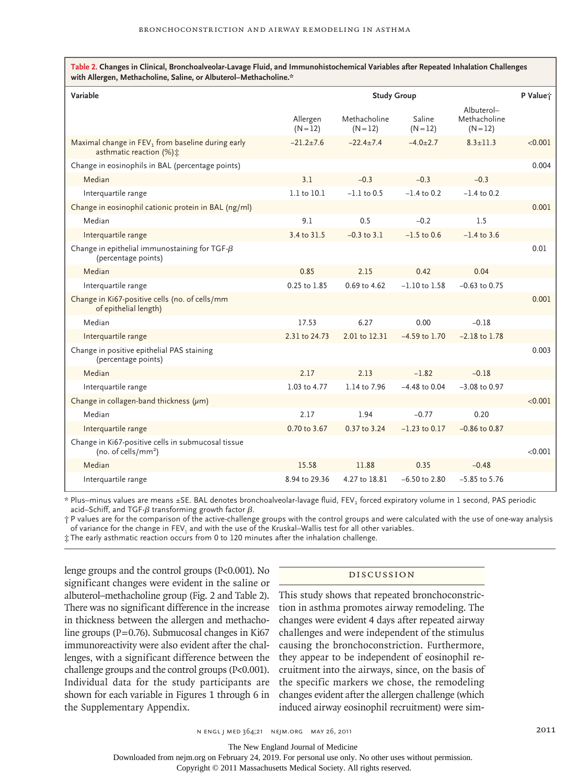**Table 2. Changes in Clinical, Bronchoalveolar-Lavage Fluid, and Immunohistochemical Variables after Repeated Inhalation Challenges with Allergen, Methacholine, Saline, or Albuterol–Methacholine.\***

| Variable                                                                                  | <b>Study Group</b>     |                            |                      |                                          |         |
|-------------------------------------------------------------------------------------------|------------------------|----------------------------|----------------------|------------------------------------------|---------|
|                                                                                           | Allergen<br>$(N = 12)$ | Methacholine<br>$(N = 12)$ | Saline<br>$(N = 12)$ | Albuterol-<br>Methacholine<br>$(N = 12)$ |         |
| Maximal change in FEV <sub>1</sub> from baseline during early<br>asthmatic reaction (%) ± | $-21.2+7.6$            | $-22.4+7.4$                | $-4.0+2.7$           | $8.3 + 11.3$                             | < 0.001 |
| Change in eosinophils in BAL (percentage points)                                          |                        |                            |                      |                                          | 0.004   |
| Median                                                                                    | 3.1                    | $-0.3$                     | $-0.3$               | $-0.3$                                   |         |
| Interquartile range                                                                       | 1.1 to 10.1            | $-1.1$ to 0.5              | $-1.4$ to 0.2        | $-1.4$ to 0.2                            |         |
| Change in eosinophil cationic protein in BAL (ng/ml)                                      |                        |                            |                      |                                          | 0.001   |
| Median                                                                                    | 9.1                    | 0.5                        | $-0.2$               | 1.5                                      |         |
| Interquartile range                                                                       | 3.4 to 31.5            | $-0.3$ to $3.1$            | $-1.5$ to 0.6        | $-1.4$ to 3.6                            |         |
| Change in epithelial immunostaining for TGF- $\beta$<br>(percentage points)               |                        |                            |                      |                                          | 0.01    |
| Median                                                                                    | 0.85                   | 2.15                       | 0.42                 | 0.04                                     |         |
| Interquartile range                                                                       | 0.25 to 1.85           | 0.69 to 4.62               | $-1.10$ to $1.58$    | $-0.63$ to 0.75                          |         |
| Change in Ki67-positive cells (no. of cells/mm<br>of epithelial length)                   |                        |                            |                      |                                          | 0.001   |
| Median                                                                                    | 17.53                  | 6.27                       | 0.00                 | $-0.18$                                  |         |
| Interquartile range                                                                       | 2.31 to 24.73          | 2.01 to 12.31              | $-4.59$ to $1.70$    | $-2.18$ to $1.78$                        |         |
| Change in positive epithelial PAS staining<br>(percentage points)                         |                        |                            |                      |                                          | 0.003   |
| Median                                                                                    | 2.17                   | 2.13                       | $-1.82$              | $-0.18$                                  |         |
| Interquartile range                                                                       | 1.03 to 4.77           | 1.14 to 7.96               | $-4.48$ to 0.04      | $-3.08$ to 0.97                          |         |
| Change in collagen-band thickness $(\mu m)$                                               |                        |                            |                      |                                          | < 0.001 |
| Median                                                                                    | 2.17                   | 1.94                       | $-0.77$              | 0.20                                     |         |
| Interquartile range                                                                       | 0.70 to 3.67           | 0.37 to 3.24               | $-1.23$ to 0.17      | $-0.86$ to $0.87$                        |         |
| Change in Ki67-positive cells in submucosal tissue<br>(no. of cells/ $mm2$ )              |                        |                            |                      |                                          | < 0.001 |
| Median                                                                                    | 15.58                  | 11.88                      | 0.35                 | $-0.48$                                  |         |
| Interquartile range                                                                       | 8.94 to 29.36          | 4.27 to 18.81              | $-6.50$ to 2.80      | $-5.85$ to $5.76$                        |         |

\* Plus–minus values are means ±SE. BAL denotes bronchoalveolar-lavage fluid, FEV<sub>1</sub> forced expiratory volume in 1 second, PAS periodic acid–Schiff, and TGF- $\beta$  transforming growth factor  $\beta$ .

† P values are for the comparison of the active-challenge groups with the control groups and were calculated with the use of one-way analysis of variance for the change in FEV $_{\rm l}$  and with the use of the Kruskal–Wallis test for all other variables.

‡ The early asthmatic reaction occurs from 0 to 120 minutes after the inhalation challenge.

lenge groups and the control groups (P<0.001). No significant changes were evident in the saline or albuterol–methacholine group (Fig. 2 and Table 2). There was no significant difference in the increase in thickness between the allergen and methacholine groups ( $P=0.76$ ). Submucosal changes in Ki67 immunoreactivity were also evident after the challenges, with a significant difference between the challenge groups and the control groups (P<0.001). Individual data for the study participants are shown for each variable in Figures 1 through 6 in the Supplementary Appendix.

## Discussion

This study shows that repeated bronchoconstriction in asthma promotes airway remodeling. The changes were evident 4 days after repeated airway challenges and were independent of the stimulus causing the bronchoconstriction. Furthermore, they appear to be independent of eosinophil recruitment into the airways, since, on the basis of the specific markers we chose, the remodeling changes evident after the allergen challenge (which induced airway eosinophil recruitment) were sim-

The New England Journal of Medicine

Downloaded from nejm.org on February 24, 2019. For personal use only. No other uses without permission.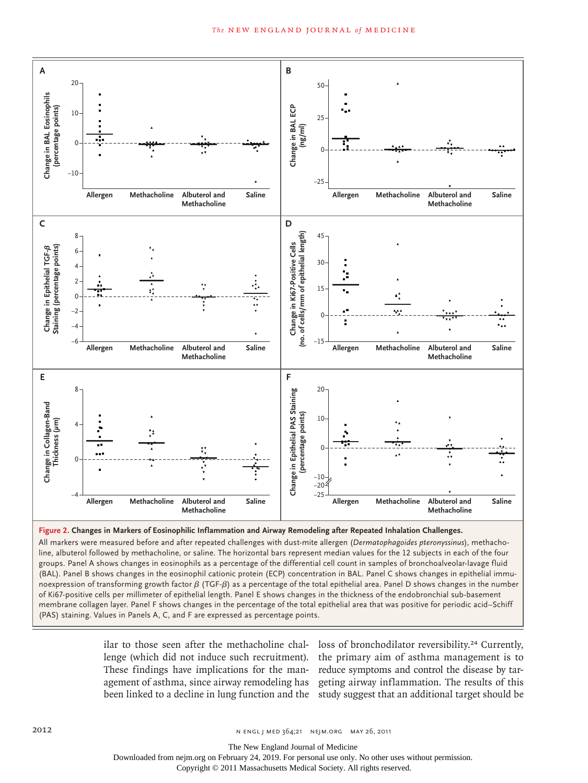



All markers were measured before and after repeated challenges with dust-mite allergen (*Dermatophagoides pteronyssinus*), methacholine, albuterol followed by methacholine, or saline. The horizontal bars represent median values for the 12 subjects in each of the four groups. Panel A shows changes in eosinophils as a percentage of the differential cell count in samples of bronchoalveolar-lavage fluid (BAL). Panel B shows changes in the eosinophil cationic protein (ECP) concentration in BAL. Panel C shows changes in epithelial immunoexpression of transforming growth factor  $β$  (TGF- $β$ ) as a percentage of the total epithelial area. Panel D shows changes in the number of Ki67-positive cells per millimeter of epithelial length. Panel E shows changes in the thickness of the endobronchial sub-basement membrane collagen layer. Panel F shows changes in the percentage of the total epithelial area that was positive for periodic acid–Schiff (PAS) staining. Values in Panels A, C, and F are expressed as percentage points.

> ilar to those seen after the methacholine chal- loss of bronchodilator reversibility.<sup>24</sup> Currently, lenge (which did not induce such recruitment). These findings have implications for the manbeen linked to a decline in lung function and the study suggest that an additional target should be

> agement of asthma, since airway remodeling has geting airway inflammation. The results of this the primary aim of asthma management is to reduce symptoms and control the disease by tar-

The New England Journal of Medicine

Downloaded from nejm.org on February 24, 2019. For personal use only. No other uses without permission.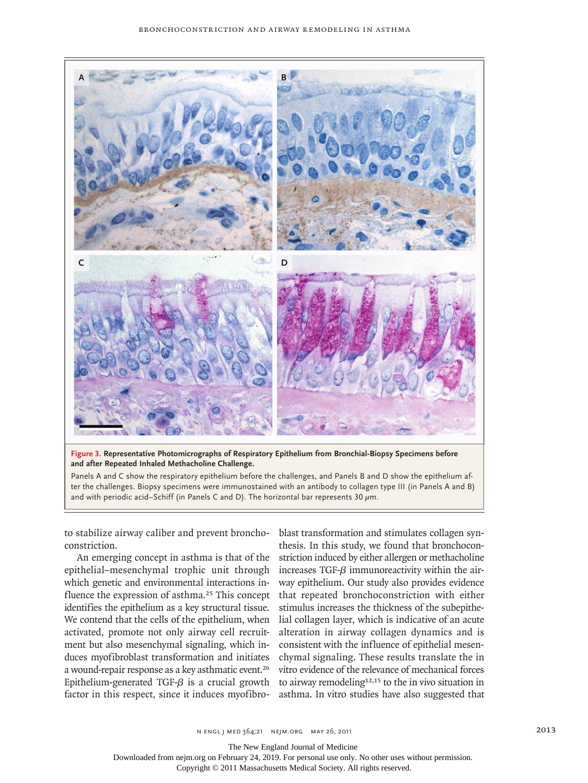

**Figure 3. Representative Photomicrographs of Respiratory Epithelium from Bronchial-Biopsy Specimens before and after Repeated Inhaled Methacholine Challenge.**

Panels A and C show the respiratory epithelium before the challenges, and Panels B and D show the epithelium after the challenges. Biopsy specimens were immunostained with an antibody to collagen type III (in Panels A and B) and with periodic acid–Schiff (in Panels C and D). The horizontal bar represents 30  $\mu$ m.

to stabilize airway caliber and prevent bronchoconstriction.

An emerging concept in asthma is that of the epithelial–mesenchymal trophic unit through which genetic and environmental interactions influence the expression of asthma.<sup>25</sup> This concept identifies the epithelium as a key structural tissue. We contend that the cells of the epithelium, when activated, promote not only airway cell recruitment but also mesenchymal signaling, which induces myofibroblast transformation and initiates a wound-repair response as a key asthmatic event.<sup>26</sup> Epithelium-generated TGF- $\beta$  is a crucial growth factor in this respect, since it induces myofibroblast transformation and stimulates collagen synthesis. In this study, we found that bronchoconstriction induced by either allergen or methacholine increases TGF-β immunoreactivity within the airway epithelium. Our study also provides evidence that repeated bronchoconstriction with either stimulus increases the thickness of the subepithelial collagen layer, which is indicative of an acute alteration in airway collagen dynamics and is consistent with the influence of epithelial mesenchymal signaling. These results translate the in vitro evidence of the relevance of mechanical forces to airway remodeling<sup>12,15</sup> to the in vivo situation in asthma. In vitro studies have also suggested that

The New England Journal of Medicine

Downloaded from nejm.org on February 24, 2019. For personal use only. No other uses without permission.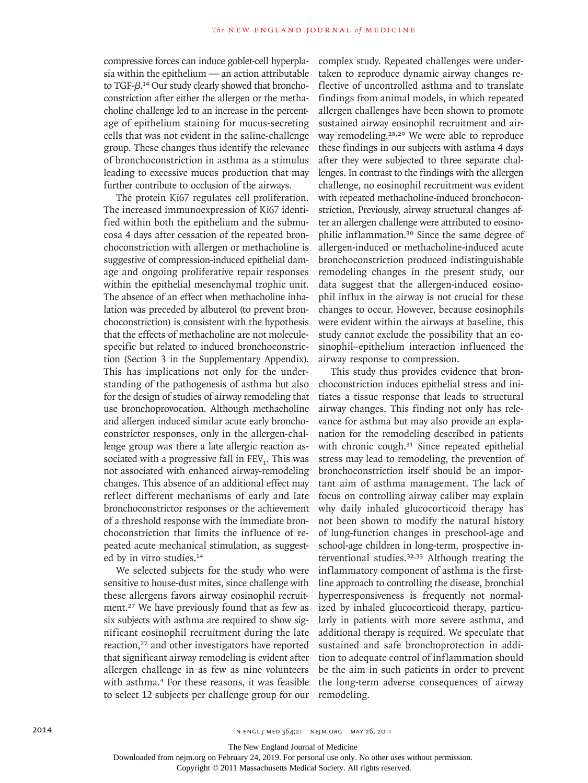compressive forces can induce goblet-cell hyperplasia within the epithelium — an action attributable to TGF-β.14 Our study clearly showed that bronchoconstriction after either the allergen or the methacholine challenge led to an increase in the percentage of epithelium staining for mucus-secreting cells that was not evident in the saline-challenge group. These changes thus identify the relevance of bronchoconstriction in asthma as a stimulus leading to excessive mucus production that may further contribute to occlusion of the airways.

The protein Ki67 regulates cell proliferation. The increased immunoexpression of Ki67 identified within both the epithelium and the submucosa 4 days after cessation of the repeated bronchoconstriction with allergen or methacholine is suggestive of compression-induced epithelial damage and ongoing proliferative repair responses within the epithelial mesenchymal trophic unit. The absence of an effect when methacholine inhalation was preceded by albuterol (to prevent bronchoconstriction) is consistent with the hypothesis that the effects of methacholine are not moleculespecific but related to induced bronchoconstriction (Section 3 in the Supplementary Appendix). This has implications not only for the understanding of the pathogenesis of asthma but also for the design of studies of airway remodeling that use bronchoprovocation. Although methacholine and allergen induced similar acute early bronchoconstrictor responses, only in the allergen-challenge group was there a late allergic reaction associated with a progressive fall in  $FEV<sub>1</sub>$ . This was not associated with enhanced airway-remodeling changes. This absence of an additional effect may reflect different mechanisms of early and late bronchoconstrictor responses or the achievement of a threshold response with the immediate bronchoconstriction that limits the influence of repeated acute mechanical stimulation, as suggested by in vitro studies.<sup>14</sup>

We selected subjects for the study who were sensitive to house-dust mites, since challenge with these allergens favors airway eosinophil recruitment.<sup>27</sup> We have previously found that as few as six subjects with asthma are required to show significant eosinophil recruitment during the late reaction,<sup>27</sup> and other investigators have reported that significant airway remodeling is evident after allergen challenge in as few as nine volunteers with asthma.<sup>4</sup> For these reasons, it was feasible to select 12 subjects per challenge group for our

complex study. Repeated challenges were undertaken to reproduce dynamic airway changes reflective of uncontrolled asthma and to translate findings from animal models, in which repeated allergen challenges have been shown to promote sustained airway eosinophil recruitment and airway remodeling.28,29 We were able to reproduce these findings in our subjects with asthma 4 days after they were subjected to three separate challenges. In contrast to the findings with the allergen challenge, no eosinophil recruitment was evident with repeated methacholine-induced bronchoconstriction. Previously, airway structural changes after an allergen challenge were attributed to eosinophilic inflammation.30 Since the same degree of allergen-induced or methacholine-induced acute bronchoconstriction produced indistinguishable remodeling changes in the present study, our data suggest that the allergen-induced eosinophil influx in the airway is not crucial for these changes to occur. However, because eosinophils were evident within the airways at baseline, this study cannot exclude the possibility that an eosinophil–epithelium interaction influenced the airway response to compression.

This study thus provides evidence that bronchoconstriction induces epithelial stress and initiates a tissue response that leads to structural airway changes. This finding not only has relevance for asthma but may also provide an explanation for the remodeling described in patients with chronic cough.<sup>31</sup> Since repeated epithelial stress may lead to remodeling, the prevention of bronchoconstriction itself should be an important aim of asthma management. The lack of focus on controlling airway caliber may explain why daily inhaled glucocorticoid therapy has not been shown to modify the natural history of lung-function changes in preschool-age and school-age children in long-term, prospective interventional studies.32,33 Although treating the inflammatory component of asthma is the firstline approach to controlling the disease, bronchial hyperresponsiveness is frequently not normalized by inhaled glucocorticoid therapy, particularly in patients with more severe asthma, and additional therapy is required. We speculate that sustained and safe bronchoprotection in addition to adequate control of inflammation should be the aim in such patients in order to prevent the long-term adverse consequences of airway remodeling.

The New England Journal of Medicine

Downloaded from nejm.org on February 24, 2019. For personal use only. No other uses without permission.